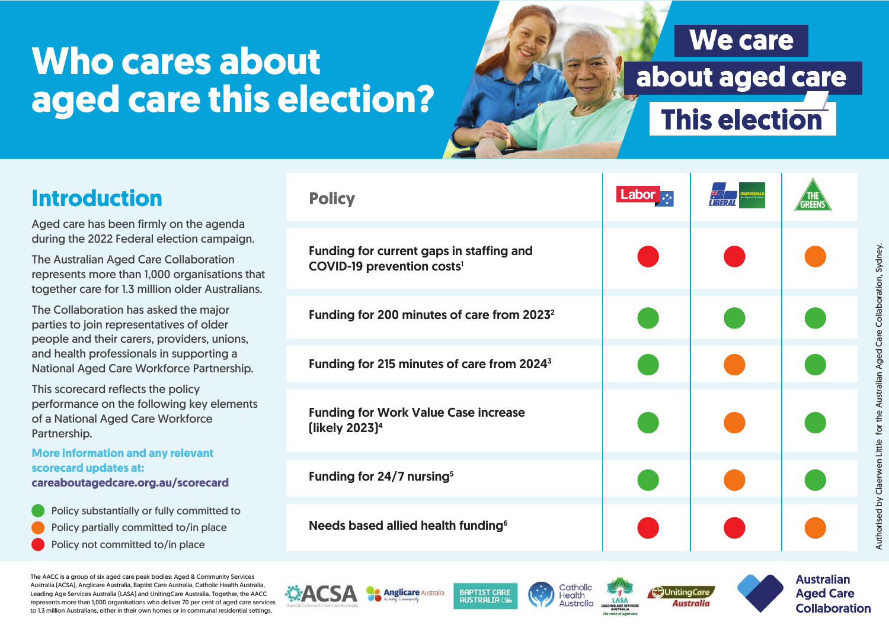# **Who cares about aged care this election?**

### **We care** about aged care **This election**

| <b>Introduction</b>                                                                                                                                                                                                                  | <b>Policy</b>                                                                 | <b>Labor</b> $\cdot$ |  |
|--------------------------------------------------------------------------------------------------------------------------------------------------------------------------------------------------------------------------------------|-------------------------------------------------------------------------------|----------------------|--|
| Aged care has been firmly on the agenda<br>during the 2022 Federal election campaign.<br>The Australian Aged Care Collaboration<br>represents more than 1,000 organisations that<br>together care for 1.3 million older Australians. | Funding for current gaps in staffing and<br><b>COVID-19 prevention costs'</b> |                      |  |
| The Collaboration has asked the major<br>parties to join representatives of older<br>people and their carers, providers, unions,<br>and health professionals in supporting a<br>National Aged Care Workforce Partnership.            | Funding for 200 minutes of care from 2023 <sup>2</sup>                        |                      |  |
|                                                                                                                                                                                                                                      | Funding for 215 minutes of care from 2024 <sup>3</sup>                        |                      |  |
| This scorecard reflects the policy<br>performance on the following key elements<br>of a National Aged Care Workforce<br>Partnership.                                                                                                 | <b>Funding for Work Value Case increase</b><br>[likely 2023] $4$              |                      |  |
| <b>More information and any relevant</b><br>scorecard updates at:<br>careaboutagedcare.org.au/scorecard                                                                                                                              | Funding for 24/7 nursing <sup>5</sup>                                         |                      |  |
| Policy substantially or fully committed to<br>Policy partially committed to/in place<br>Policy not committed to/in place                                                                                                             | Needs based allied health funding <sup>6</sup>                                |                      |  |

**BAPTIST CARE** 

**AUSTRALIA** 

**Anglicare** Australia

The AACC is a group of six aged care peak bodies: Aged & Community Services Australia (ACSA), Anglicare Australia, Baptist Care Australia, Catholic Health Australia, Leading Age Services Australia (LASA) and UnitingCare Australia. Together, the AACC represents more than 1,000 organisations who deliver 70 per cent of aged care services to 1.3 million Australians, either in their own homes or in communal residential settings.

 $\mathbf{A}$ 







**Australian Aged Care Collaboration**